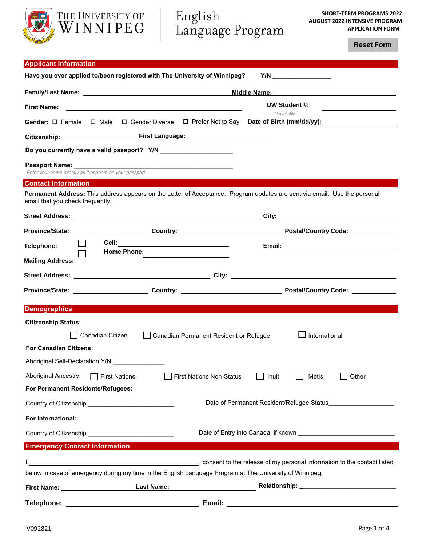

**Reset Form**

| <b>Applicant Information</b>                                                                                                                                  |                                                                                 |  |  |  |
|---------------------------------------------------------------------------------------------------------------------------------------------------------------|---------------------------------------------------------------------------------|--|--|--|
| Have you ever applied to/been registered with The University of Winnipeg?                                                                                     |                                                                                 |  |  |  |
|                                                                                                                                                               | Middle Name:                                                                    |  |  |  |
| <b>First Name:</b>                                                                                                                                            | UW Student #:                                                                   |  |  |  |
| Gender: □ Female □ Male                                                                                                                                       | *if available<br>□ Gender Diverse □ Prefer Not to Say Date of Birth (mm/dd/yy): |  |  |  |
|                                                                                                                                                               |                                                                                 |  |  |  |
| Do you currently have a valid passport? Y/N _______________________                                                                                           |                                                                                 |  |  |  |
| Enter your name exactly as it appears on your passport.                                                                                                       |                                                                                 |  |  |  |
| <b>Contact Information</b>                                                                                                                                    |                                                                                 |  |  |  |
| Permanent Address: This address appears on the Letter of Acceptance. Program updates are sent via email. Use the personal<br>email that you check frequently. |                                                                                 |  |  |  |
|                                                                                                                                                               |                                                                                 |  |  |  |
|                                                                                                                                                               |                                                                                 |  |  |  |
| Telephone:                                                                                                                                                    |                                                                                 |  |  |  |
| <b>Home Phone:</b>                                                                                                                                            |                                                                                 |  |  |  |
| <b>Mailing Address:</b>                                                                                                                                       |                                                                                 |  |  |  |
|                                                                                                                                                               |                                                                                 |  |  |  |
|                                                                                                                                                               |                                                                                 |  |  |  |
| <b>Demographics</b>                                                                                                                                           |                                                                                 |  |  |  |
| <b>Citizenship Status:</b>                                                                                                                                    |                                                                                 |  |  |  |
| Canadian Citizen<br>Canadian Permanent Resident or Refugee                                                                                                    | International                                                                   |  |  |  |
| <b>For Canadian Citizens:</b>                                                                                                                                 |                                                                                 |  |  |  |
| Aboriginal Self-Declaration Y/N                                                                                                                               |                                                                                 |  |  |  |
| Aboriginal Ancestry:<br><b>First Nations Non-Status</b><br>$\Box$ First Nations                                                                               | Other<br>Inuit<br>Metis                                                         |  |  |  |
|                                                                                                                                                               |                                                                                 |  |  |  |
| For Permanent Residents/Refugees:                                                                                                                             |                                                                                 |  |  |  |
|                                                                                                                                                               | Date of Permanent Resident/Refugee Status                                       |  |  |  |
| For International:                                                                                                                                            |                                                                                 |  |  |  |
|                                                                                                                                                               |                                                                                 |  |  |  |
| <b>Emergency Contact Information</b>                                                                                                                          |                                                                                 |  |  |  |
| consent to the release of my personal information to the contact listed, (and the contact listed                                                              |                                                                                 |  |  |  |
| below in case of emergency during my time in the English Language Program at The University of Winnipeg.                                                      |                                                                                 |  |  |  |

**Telephone: Email:**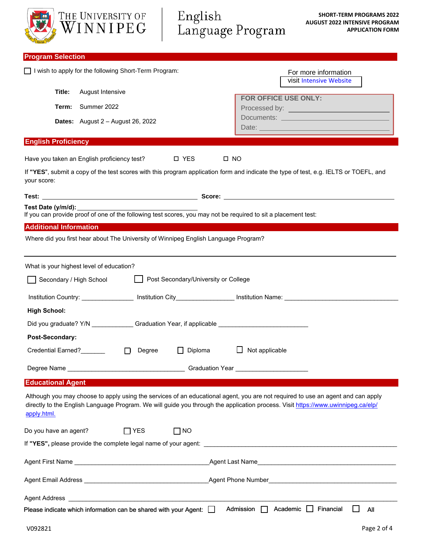| THE UNIVERSITY OF<br>WINNIPEG                                                                                                                                                                                                                                                      | English<br>Language Program          | <b>SHORT-TERM PROGRAMS 2022</b><br><b>AUGUST 2022 INTENSIVE PROGRAM</b><br><b>APPLICATION FORM</b>                                                                                                                             |
|------------------------------------------------------------------------------------------------------------------------------------------------------------------------------------------------------------------------------------------------------------------------------------|--------------------------------------|--------------------------------------------------------------------------------------------------------------------------------------------------------------------------------------------------------------------------------|
| <b>Program Selection</b>                                                                                                                                                                                                                                                           |                                      |                                                                                                                                                                                                                                |
| I wish to apply for the following Short-Term Program:                                                                                                                                                                                                                              |                                      | For more information<br>visit Intensive Website                                                                                                                                                                                |
| Title:<br>August Intensive                                                                                                                                                                                                                                                         | FOR OFFICE USE ONLY:                 |                                                                                                                                                                                                                                |
| Summer 2022<br>Term:                                                                                                                                                                                                                                                               |                                      |                                                                                                                                                                                                                                |
| Dates: August 2 - August 26, 2022                                                                                                                                                                                                                                                  |                                      | Documents: New York Documents: New York Discovery Process Product Discovery Product Discovery Product Discovery Product Discovery Product Discovery Product Discovery Product Discovery Product Discovery Product Discovery Pr |
| <b>English Proficiency</b>                                                                                                                                                                                                                                                         |                                      |                                                                                                                                                                                                                                |
| Have you taken an English proficiency test?                                                                                                                                                                                                                                        | □ YES<br>$\square$ NO                |                                                                                                                                                                                                                                |
| If "YES", submit a copy of the test scores with this program application form and indicate the type of test, e.g. IELTS or TOEFL, and<br>your score:                                                                                                                               |                                      |                                                                                                                                                                                                                                |
|                                                                                                                                                                                                                                                                                    |                                      |                                                                                                                                                                                                                                |
| Test Date (y/m/d):<br>If you can provide proof of one of the following test scores, you may not be required to sit a placement test:                                                                                                                                               |                                      |                                                                                                                                                                                                                                |
| <b>Additional Information</b>                                                                                                                                                                                                                                                      |                                      |                                                                                                                                                                                                                                |
| Where did you first hear about The University of Winnipeg English Language Program?                                                                                                                                                                                                |                                      |                                                                                                                                                                                                                                |
|                                                                                                                                                                                                                                                                                    |                                      |                                                                                                                                                                                                                                |
| What is your highest level of education?                                                                                                                                                                                                                                           |                                      |                                                                                                                                                                                                                                |
| Secondary / High School                                                                                                                                                                                                                                                            | Post Secondary/University or College |                                                                                                                                                                                                                                |
| Institution Country: __________________ Institution City________________________ Institution Name: ___________                                                                                                                                                                     |                                      |                                                                                                                                                                                                                                |
| <b>High School:</b>                                                                                                                                                                                                                                                                |                                      |                                                                                                                                                                                                                                |
| Did you graduate? Y/N ______________Graduation Year, if applicable _________________________________                                                                                                                                                                               |                                      |                                                                                                                                                                                                                                |
| Post-Secondary:                                                                                                                                                                                                                                                                    |                                      |                                                                                                                                                                                                                                |
| Credential Earned?<br><u>Letter and the set</u><br>Degree<br>$\Box$                                                                                                                                                                                                                | $\Box$ Diploma<br>Not applicable     |                                                                                                                                                                                                                                |
|                                                                                                                                                                                                                                                                                    |                                      |                                                                                                                                                                                                                                |
| <b>Educational Agent</b>                                                                                                                                                                                                                                                           |                                      |                                                                                                                                                                                                                                |
| Although you may choose to apply using the services of an educational agent, you are not required to use an agent and can apply<br>directly to the English Language Program. We will guide you through the application process. Visit https://www.uwinnipeg.ca/elp/<br>apply.html. |                                      |                                                                                                                                                                                                                                |
| Do you have an agent?<br>$\Box$ YES                                                                                                                                                                                                                                                | $\Box$ NO                            |                                                                                                                                                                                                                                |
|                                                                                                                                                                                                                                                                                    |                                      |                                                                                                                                                                                                                                |
|                                                                                                                                                                                                                                                                                    |                                      |                                                                                                                                                                                                                                |
|                                                                                                                                                                                                                                                                                    |                                      |                                                                                                                                                                                                                                |
|                                                                                                                                                                                                                                                                                    |                                      |                                                                                                                                                                                                                                |
| Please indicate which information can be shared with your Agent: $\Box$                                                                                                                                                                                                            | Admission   Academic   Financial     | All                                                                                                                                                                                                                            |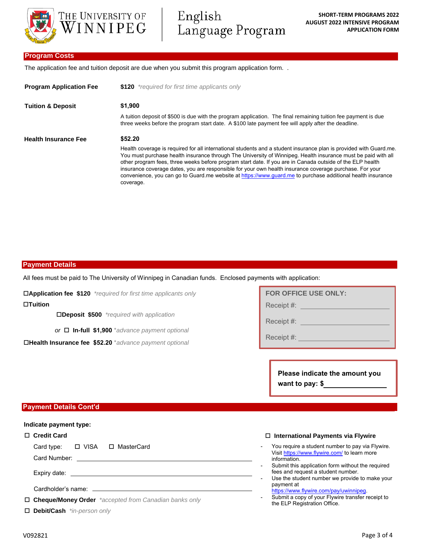

English Language Program

# **Program Costs**

The application fee and tuition deposit are due when you submit this program application form. .

| <b>Program Application Fee</b> | \$120 *required for first time applicants only                                                                                                                                                                                                                                                                                                                                                                                                                                                                                                                                          |  |  |  |  |
|--------------------------------|-----------------------------------------------------------------------------------------------------------------------------------------------------------------------------------------------------------------------------------------------------------------------------------------------------------------------------------------------------------------------------------------------------------------------------------------------------------------------------------------------------------------------------------------------------------------------------------------|--|--|--|--|
| <b>Tuition &amp; Deposit</b>   | \$1,900                                                                                                                                                                                                                                                                                                                                                                                                                                                                                                                                                                                 |  |  |  |  |
|                                | A tuition deposit of \$500 is due with the program application. The final remaining tuition fee payment is due<br>three weeks before the program start date. A \$100 late payment fee will apply after the deadline.                                                                                                                                                                                                                                                                                                                                                                    |  |  |  |  |
| <b>Health Insurance Fee</b>    | \$52.20                                                                                                                                                                                                                                                                                                                                                                                                                                                                                                                                                                                 |  |  |  |  |
|                                | Health coverage is required for all international students and a student insurance plan is provided with Guard.me.<br>You must purchase health insurance through The University of Winnipeg. Health insurance must be paid with all<br>other program fees, three weeks before program start date. If you are in Canada outside of the ELP health<br>insurance coverage dates, you are responsible for your own health insurance coverage purchase. For your<br>convenience, you can go to Guard me website at https://www.guard.me to purchase additional health insurance<br>coverage. |  |  |  |  |

# **Payment Details**

All fees must be paid to The University of Winnipeg in Canadian funds. Enclosed payments with application:

**Application fee \$120** *\*required for first time applicants only*

**Tuition**

**Deposit \$500** *\*required with application*

*or* **In-full \$1,900** \**advance payment optional*

**Health Insurance fee \$52.20** \**advance payment optional*

| <b>FOR OFFICE USE ONLY:</b> |  |  |  |
|-----------------------------|--|--|--|
| Receipt #:                  |  |  |  |
| Receipt #:                  |  |  |  |

Receipt #:

**Please indicate the amount you want to pay: \$**

# **Payment Details Cont'd**

#### **Indicate payment type:**

#### **Credit Card**

Card type: □ VISA □ MasterCard

Card Number:

Expiry date:

Cardholder's name:

**Cheque/Money Order** *\*accepted from Canadian banks only* 

**Debit/Cash** *\*in-person only*

#### **International Payments via Flywire**

- You require a student number to pay via Flywire. Visit <https://www.flywire.com/> to learn more information.
- Submit this application form without the required fees and request a student number.
- Use the student number we provide to make your payment at
- [https://www.flywire.com/pay/uwinnipeg.](https://www.flywire.com/pay/uwinnipeg) Submit a copy of your Flywire transfer receipt to
- the ELP Registration Office.